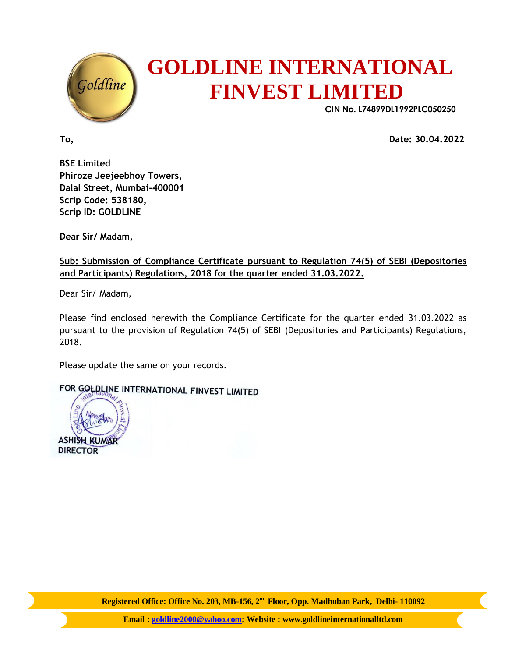

## **GOLDLINE INTERNATIONAL FINVEST LIMITED**

 **CIN No. L74899DL1992PLC050250**

**To, Date: 30.04.2022**

**BSE Limited Phiroze Jeejeebhoy Towers, Dalal Street, Mumbai-400001 Scrip Code: 538180, Scrip ID: GOLDLINE**

**Dear Sir/ Madam,**

**Sub: Submission of Compliance Certificate pursuant to Regulation 74(5) of SEBI (Depositories and Participants) Regulations, 2018 for the quarter ended 31.03.2022.**

Dear Sir/ Madam,

Please find enclosed herewith the Compliance Certificate for the quarter ended 31.03.2022 as pursuant to the provision of Regulation 74(5) of SEBI (Depositories and Participants) Regulations, 2018.

Please update the same on your records.

FOR GOLDLINE INTERNATIONAL FINVEST LIMITED

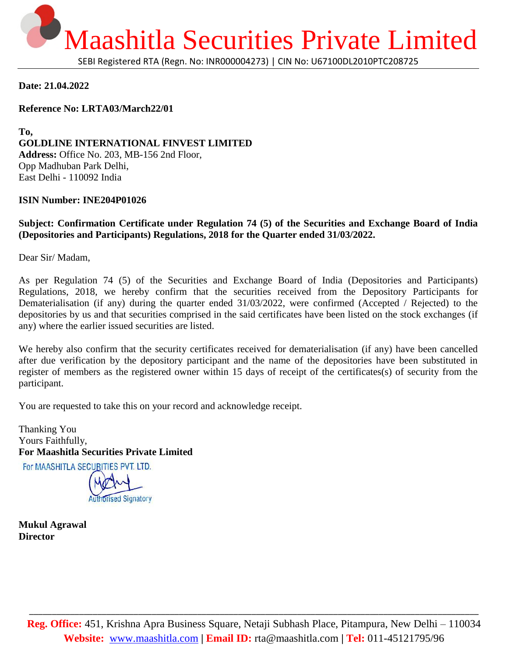

**Date: 21.04.2022**

**Reference No: LRTA03/March22/01**

**To, GOLDLINE INTERNATIONAL FINVEST LIMITED Address:** Office No. 203, MB-156 2nd Floor, Opp Madhuban Park Delhi, East Delhi - 110092 India

## **ISIN Number: INE204P01026**

**Subject: Confirmation Certificate under Regulation 74 (5) of the Securities and Exchange Board of India (Depositories and Participants) Regulations, 2018 for the Quarter ended 31/03/2022.**

Dear Sir/ Madam,

As per Regulation 74 (5) of the Securities and Exchange Board of India (Depositories and Participants) Regulations, 2018, we hereby confirm that the securities received from the Depository Participants for Dematerialisation (if any) during the quarter ended 31/03/2022, were confirmed (Accepted / Rejected) to the depositories by us and that securities comprised in the said certificates have been listed on the stock exchanges (if any) where the earlier issued securities are listed.

We hereby also confirm that the security certificates received for dematerialisation (if any) have been cancelled after due verification by the depository participant and the name of the depositories have been substituted in register of members as the registered owner within 15 days of receipt of the certificates(s) of security from the participant.

You are requested to take this on your record and acknowledge receipt.

Thanking You Yours Faithfully, **For Maashitla Securities Private Limited** For MAASHITLA SECURITIES PVT. LTD.

**Orised Signatory** 

**Mukul Agrawal Director**

\_\_\_\_\_\_\_\_\_\_\_\_\_\_\_\_\_\_\_\_\_\_\_\_\_\_\_\_\_\_\_\_\_\_\_\_\_\_\_\_\_\_\_\_\_\_\_\_\_\_\_\_\_\_\_\_\_\_\_\_\_\_\_\_\_\_\_\_\_\_\_\_\_\_\_\_\_\_\_\_\_\_\_\_\_\_\_\_\_\_\_\_\_\_\_\_\_\_\_